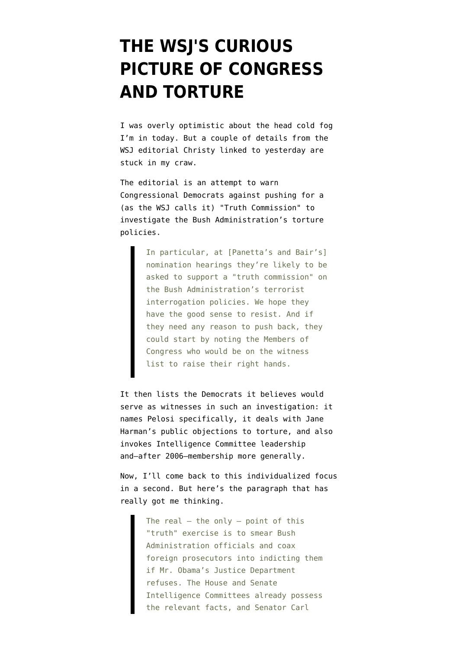## **[THE WSJ'S CURIOUS](https://www.emptywheel.net/2009/01/08/the-wsjs-curious-picture-of-congress-and-torture/) [PICTURE OF CONGRESS](https://www.emptywheel.net/2009/01/08/the-wsjs-curious-picture-of-congress-and-torture/) [AND TORTURE](https://www.emptywheel.net/2009/01/08/the-wsjs-curious-picture-of-congress-and-torture/)**

I was [overly optimistic](http://emptywheel.firedoglake.com/2009/01/08/draft-blagojevich-impeachment-report-released/) about the head cold fog I'm in today. But a couple of details from the [WSJ editorial](http://online.wsj.com/article/SB123120464870255997.html) Christy [linked to](http://firedoglake.com/2009/01/07/warning-off-panetta-whose-water-is-the-wsj-carrying/) yesterday are stuck in my craw.

The editorial is an attempt to warn Congressional Democrats against pushing for a (as the WSJ calls it) "Truth Commission" to investigate the Bush Administration's torture policies.

> In particular, at [Panetta's and Bair's] nomination hearings they're likely to be asked to support a "truth commission" on the Bush Administration's terrorist interrogation policies. We hope they have the good sense to resist. And if they need any reason to push back, they could start by noting the Members of Congress who would be on the witness list to raise their right hands.

It then lists the Democrats it believes would serve as witnesses in such an investigation: it names Pelosi specifically, it deals with Jane Harman's public objections to torture, and also invokes Intelligence Committee leadership and–after 2006–membership more generally.

Now, I'll come back to this individualized focus in a second. But here's the paragraph that has really got me thinking.

> The real  $-$  the only  $-$  point of this "truth" exercise is to smear Bush Administration officials and coax foreign prosecutors into indicting them if Mr. Obama's Justice Department refuses. The House and Senate Intelligence Committees already possess the relevant facts, and Senator Carl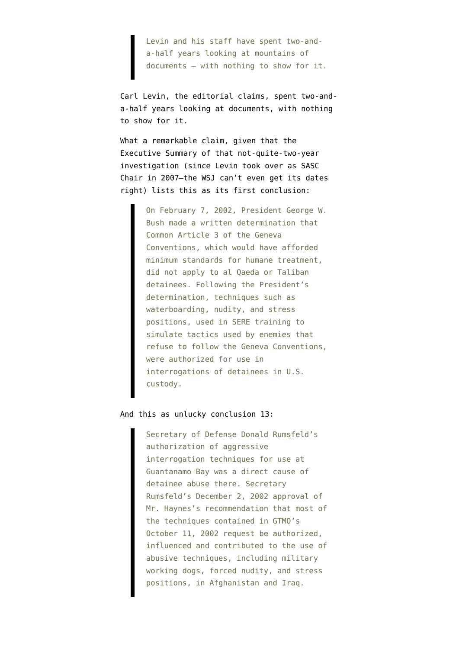Levin and his staff have spent two-anda-half years looking at mountains of documents — with nothing to show for it.

Carl Levin, the editorial claims, spent two-anda-half years looking at documents, with nothing to show for it.

What a remarkable claim, given that the [Executive Summary](http://armed-services.senate.gov/Publications/EXEC%20SUMMARY-CONCLUSIONS_For%20Release_12%20December%202008.pdf) of that not-quite-two-year investigation (since Levin took over as SASC Chair in 2007–the WSJ can't even get its dates right) lists this as its first conclusion:

> On February 7, 2002, President George W. Bush made a written determination that Common Article 3 of the Geneva Conventions, which would have afforded minimum standards for humane treatment, did not apply to al Qaeda or Taliban detainees. Following the President's determination, techniques such as waterboarding, nudity, and stress positions, used in SERE training to simulate tactics used by enemies that refuse to follow the Geneva Conventions, were authorized for use in interrogations of detainees in U.S. custody.

## And this as unlucky conclusion 13:

Secretary of Defense Donald Rumsfeld's authorization of aggressive interrogation techniques for use at Guantanamo Bay was a direct cause of detainee abuse there. Secretary Rumsfeld's December 2, 2002 approval of Mr. Haynes's recommendation that most of the techniques contained in GTMO's October 11, 2002 request be authorized, influenced and contributed to the use of abusive techniques, including military working dogs, forced nudity, and stress positions, in Afghanistan and Iraq.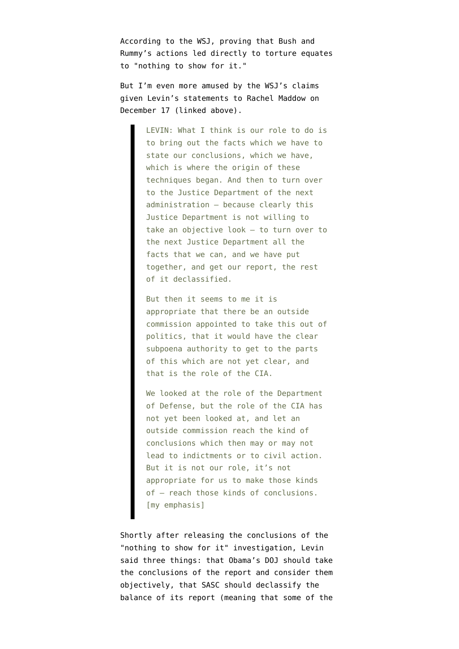According to the WSJ, proving that Bush and Rummy's actions led directly to torture equates to "nothing to show for it."

But I'm even more amused by the WSJ's claims given Levin's [statements](http://www.msnbc.msn.com/id/28301218/) to Rachel Maddow on December 17 (linked above).

> LEVIN: What I think is our role to do is to bring out the facts which we have to state our conclusions, which we have, which is where the origin of these techniques began. And then to turn over to the Justice Department of the next administration – because clearly this Justice Department is not willing to take an objective look – to turn over to the next Justice Department all the facts that we can, and we have put together, and get our report, the rest of it declassified.

> But then it seems to me it is appropriate that there be an outside commission appointed to take this out of politics, that it would have the clear subpoena authority to get to the parts of this which are not yet clear, and that is the role of the CIA.

We looked at the role of the Department of Defense, but the role of the CIA has not yet been looked at, and let an outside commission reach the kind of conclusions which then may or may not lead to indictments or to civil action. But it is not our role, it's not appropriate for us to make those kinds of – reach those kinds of conclusions. [my emphasis]

Shortly after releasing the conclusions of the "nothing to show for it" investigation, Levin said three things: that Obama's DOJ should take the conclusions of the report and consider them objectively, that SASC should declassify the balance of its report (meaning that some of the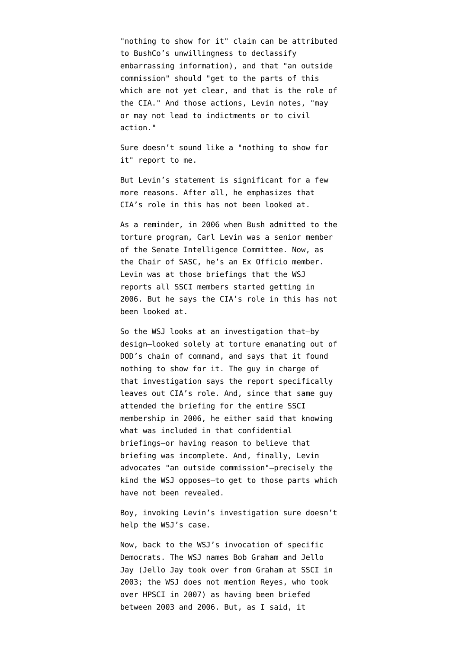"nothing to show for it" claim can be attributed to BushCo's unwillingness to declassify embarrassing information), and that "an outside commission" should "get to the parts of this which are not yet clear, and that is the role of the CIA." And those actions, Levin notes, "may or may not lead to indictments or to civil action."

Sure doesn't sound like a "nothing to show for it" report to me.

But Levin's statement is significant for a few more reasons. After all, he emphasizes that CIA's role in this has not been looked at.

As a reminder, in 2006 when Bush admitted to the torture program, Carl Levin [was a senior member](http://intelligence.senate.gov/members109thcongress.html) of the Senate Intelligence Committee. Now, as the Chair of SASC, [he's an Ex Officio member](http://intelligence.senate.gov/memberscurrent.html). Levin was at those briefings that the WSJ reports all SSCI members started getting in 2006. But he says the CIA's role in this has not been looked at.

So the WSJ looks at an investigation that–by design–looked solely at torture emanating out of DOD's chain of command, and says that it found nothing to show for it. The guy in charge of that investigation says the report specifically leaves out CIA's role. And, since that same guy attended the briefing for the entire SSCI membership in 2006, he either said that knowing what was included in that confidential briefings–or having reason to believe that briefing was incomplete. And, finally, Levin advocates "an outside commission"–precisely the kind the WSJ opposes–to get to those parts which have not been revealed.

Boy, invoking Levin's investigation sure doesn't help the WSJ's case.

Now, back to the WSJ's invocation of specific Democrats. The WSJ names Bob Graham and Jello Jay (Jello Jay took over from Graham at SSCI in 2003; the WSJ does not mention Reyes, who took over HPSCI in 2007) as having been briefed between 2003 and 2006. But, as I said, it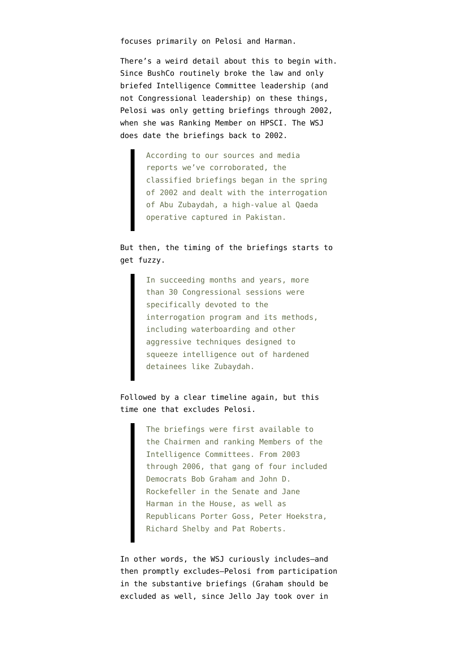focuses primarily on Pelosi and Harman.

There's a weird detail about this to begin with. Since BushCo routinely broke the law and only briefed Intelligence Committee leadership (and not Congressional leadership) on these things, Pelosi was only getting briefings through 2002, when she was Ranking Member on HPSCI. The WSJ does date the briefings back to 2002.

> According to our sources and media reports we've corroborated, the classified briefings began in the spring of 2002 and dealt with the interrogation of Abu Zubaydah, a high-value al Qaeda operative captured in Pakistan.

## But then, the timing of the briefings starts to get fuzzy.

In succeeding months and years, more than 30 Congressional sessions were specifically devoted to the interrogation program and its methods, including waterboarding and other aggressive techniques designed to squeeze intelligence out of hardened detainees like Zubaydah.

## Followed by a clear timeline again, but this time one that excludes Pelosi.

The briefings were first available to the Chairmen and ranking Members of the Intelligence Committees. From 2003 through 2006, that gang of four included Democrats Bob Graham and John D. Rockefeller in the Senate and Jane Harman in the House, as well as Republicans Porter Goss, Peter Hoekstra, Richard Shelby and Pat Roberts.

In other words, the WSJ curiously includes–and then promptly excludes–Pelosi from participation in the substantive briefings (Graham should be excluded as well, since Jello Jay took over in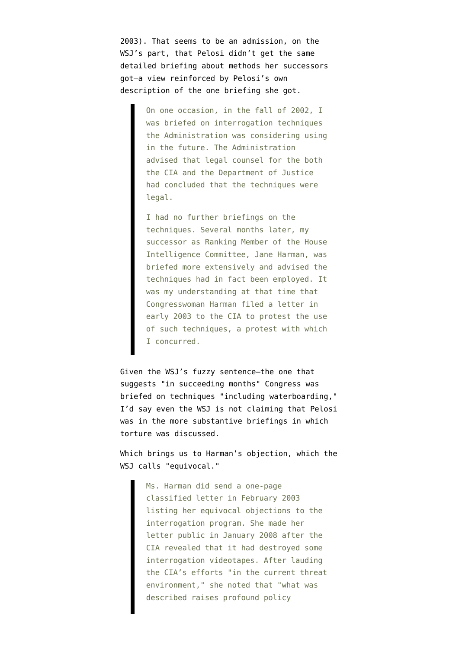2003). That seems to be an admission, on the WSJ's part, that Pelosi didn't get the same detailed briefing about methods her successors got–a view reinforced by Pelosi's [own](http://emptywheel.firedoglake.com/2007/12/10/not-what-a-catfight-looks-like/) [description](http://emptywheel.firedoglake.com/2007/12/10/not-what-a-catfight-looks-like/) of the one briefing she got.

> On one occasion, in the fall of 2002, I was briefed on interrogation techniques the Administration was considering using in the future. The Administration advised that legal counsel for the both the CIA and the Department of Justice had concluded that the techniques were legal.

> I had no further briefings on the techniques. Several months later, my successor as Ranking Member of the House Intelligence Committee, Jane Harman, was briefed more extensively and advised the techniques had in fact been employed. It was my understanding at that time that Congresswoman Harman filed a letter in early 2003 to the CIA to protest the use of such techniques, a protest with which I concurred.

Given the WSJ's fuzzy sentence–the one that suggests "in succeeding months" Congress was briefed on techniques "including waterboarding," I'd say even the WSJ is not claiming that Pelosi was in the more substantive briefings in which torture was discussed.

Which brings us to Harman's objection, which the WSJ calls "equivocal."

> Ms. Harman did send a one-page classified letter in February 2003 listing her equivocal objections to the interrogation program. She made her letter public in January 2008 after the CIA revealed that it had destroyed some interrogation videotapes. After lauding the CIA's efforts "in the current threat environment," she noted that "what was described raises profound policy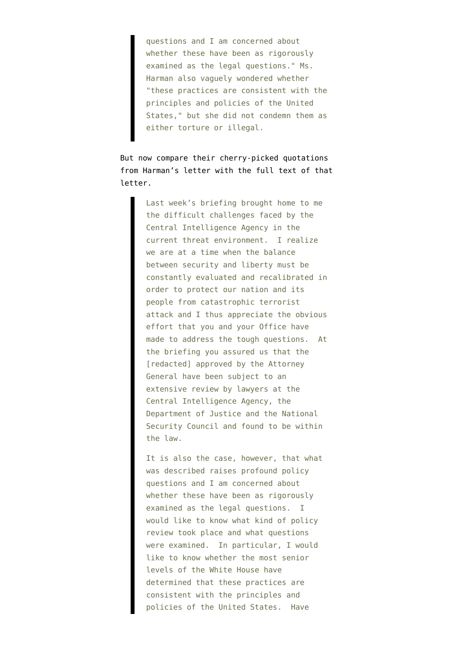questions and I am concerned about whether these have been as rigorously examined as the legal questions." Ms. Harman also vaguely wondered whether "these practices are consistent with the principles and policies of the United States," but she did not condemn them as either torture or illegal.

But now compare their cherry-picked quotations from Harman's letter with the [full text of that](http://www.house.gov/apps/list/press/ca36_harman/Jan_3.shtml) [letter](http://www.house.gov/apps/list/press/ca36_harman/Jan_3.shtml).

> Last week's briefing brought home to me the difficult challenges faced by the Central Intelligence Agency in the current threat environment. I realize we are at a time when the balance between security and liberty must be constantly evaluated and recalibrated in order to protect our nation and its people from catastrophic terrorist attack and I thus appreciate the obvious effort that you and your Office have made to address the tough questions. At the briefing you assured us that the [redacted] approved by the Attorney General have been subject to an extensive review by lawyers at the Central Intelligence Agency, the Department of Justice and the National Security Council and found to be within the law.

It is also the case, however, that what was described raises profound policy questions and I am concerned about whether these have been as rigorously examined as the legal questions. I would like to know what kind of policy review took place and what questions were examined. In particular, I would like to know whether the most senior levels of the White House have determined that these practices are consistent with the principles and policies of the United States. Have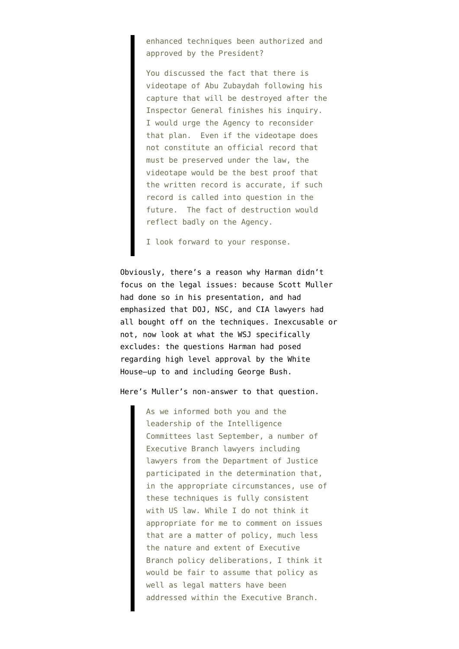enhanced techniques been authorized and approved by the President?

You discussed the fact that there is videotape of Abu Zubaydah following his capture that will be destroyed after the Inspector General finishes his inquiry. I would urge the Agency to reconsider that plan. Even if the videotape does not constitute an official record that must be preserved under the law, the videotape would be the best proof that the written record is accurate, if such record is called into question in the future. The fact of destruction would reflect badly on the Agency.

I look forward to your response.

Obviously, there's a reason why Harman didn't focus on the legal issues: because Scott Muller had done so in his presentation, and had emphasized that DOJ, NSC, and CIA lawyers had all bought off on the techniques. Inexcusable or not, now look at what the WSJ specifically excludes: the questions Harman had posed regarding high level approval by the White House–up to and including George Bush.

Here's Muller's non-answer to that question.

As we informed both you and the leadership of the Intelligence Committees last September, a number of Executive Branch lawyers including lawyers from the Department of Justice participated in the determination that, in the appropriate circumstances, use of these techniques is fully consistent with US law. While I do not think it appropriate for me to comment on issues that are a matter of policy, much less the nature and extent of Executive Branch policy deliberations, I think it would be fair to assume that policy as well as legal matters have been addressed within the Executive Branch.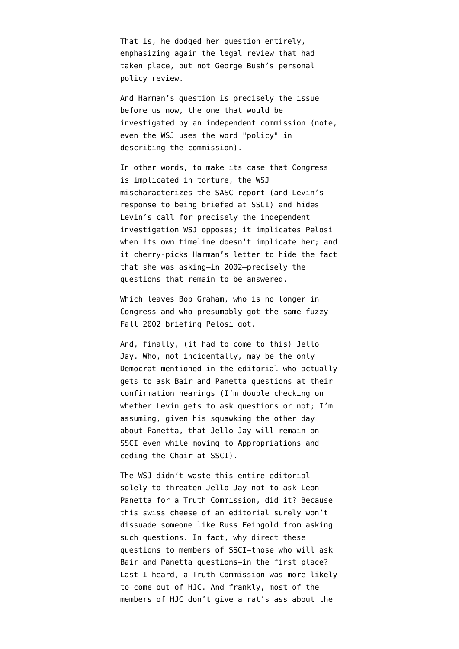That is, he dodged her question entirely, emphasizing again the legal review that had taken place, but not George Bush's personal policy review.

And Harman's question is precisely the issue before us now, the one that would be investigated by an independent commission (note, even the WSJ uses the word "policy" in describing the commission).

In other words, to make its case that Congress is implicated in torture, the WSJ mischaracterizes the SASC report (and Levin's response to being briefed at SSCI) and hides Levin's call for precisely the independent investigation WSJ opposes; it implicates Pelosi when its own timeline doesn't implicate her; and it cherry-picks Harman's letter to hide the fact that she was asking–in 2002–precisely the questions that remain to be answered.

Which leaves Bob Graham, who is no longer in Congress and who presumably got the same fuzzy Fall 2002 briefing Pelosi got.

And, finally, (it had to come to this) Jello Jay. Who, not incidentally, may be the only Democrat mentioned in the editorial who actually gets to ask Bair and Panetta questions at their confirmation hearings (I'm double checking on whether Levin gets to ask questions or not; I'm assuming, given his squawking the other day about Panetta, that Jello Jay will remain on SSCI even while moving to Appropriations and ceding the Chair at SSCI).

The WSJ didn't waste this entire editorial solely to threaten Jello Jay not to ask Leon Panetta for a Truth Commission, did it? Because this swiss cheese of an editorial surely won't dissuade someone like Russ Feingold from asking such questions. In fact, why direct these questions to members of SSCI–those who will ask Bair and Panetta questions–in the first place? Last I heard, a Truth Commission was more likely to come out of HJC. And frankly, most of the members of HJC don't give a rat's ass about the